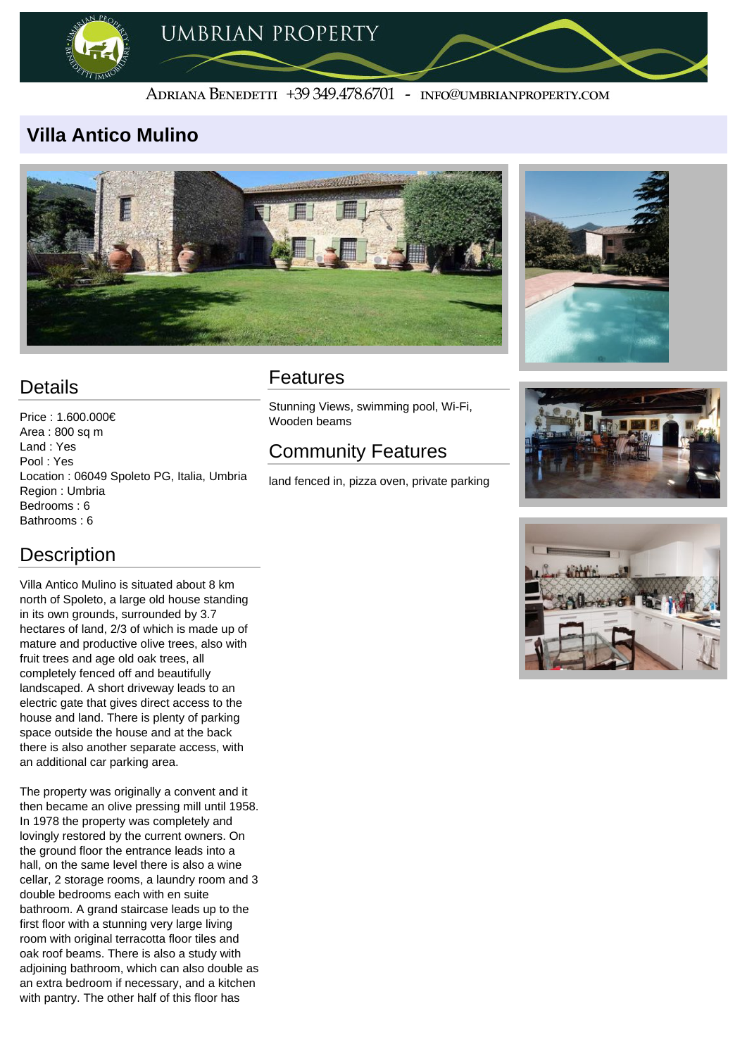

#### ADRIANA BENEDETTI +39 349.478.6701 - INFO@UMBRIANPROPERTY.COM

### **Villa Antico Mulino**





## **Details**

Price : 1.600.000€ Area : 800 sq m Land : Yes Pool : Yes Location : 06049 Spoleto PG, Italia, Umbria Region : Umbria Bedrooms : 6 Bathrooms : 6

Villa Antico Mulino is situated about 8 km north of Spoleto, a large old house standing in its own grounds, surrounded by 3.7 hectares of land, 2/3 of which is made up of mature and productive olive trees, also with fruit trees and age old oak trees, all completely fenced off and beautifully landscaped. A short driveway leads to an electric gate that gives direct access to the house and land. There is plenty of parking space outside the house and at the back there is also another separate access, with an additional car parking area.

The property was originally a convent and it then became an olive pressing mill until 1958. In 1978 the property was completely and lovingly restored by the current owners. On the ground floor the entrance leads into a hall, on the same level there is also a wine cellar, 2 storage rooms, a laundry room and 3 double bedrooms each with en suite bathroom. A grand staircase leads up to the first floor with a stunning very large living room with original terracotta floor tiles and oak roof beams. There is also a study with adjoining bathroom, which can also double as an extra bedroom if necessary, and a kitchen with pantry. The other half of this floor has

### Features

Stunning Views, swimming pool, Wi-Fi, Wooden beams

# Community Features

land fenced in, pizza oven, private parking





## **Description**